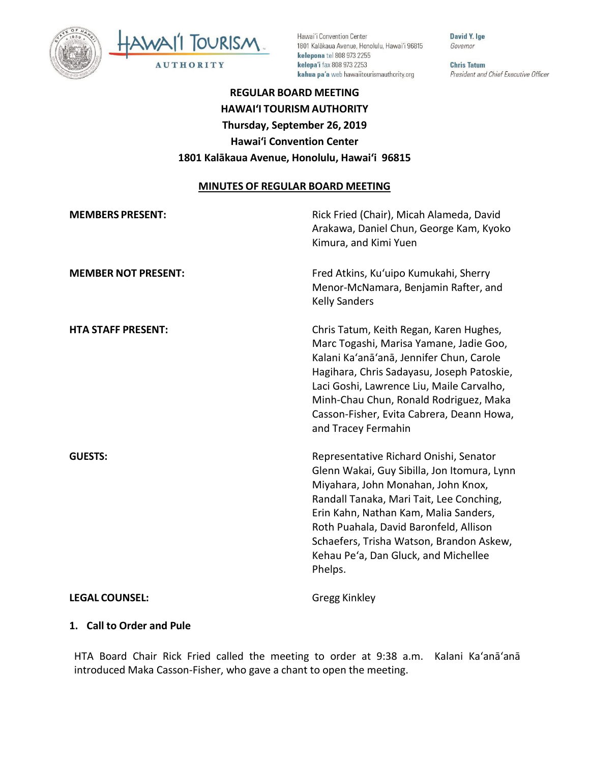



Hawai'i Convention Center 1801 Kalākaua Avenue, Honolulu, Hawai'i 96815 kelepona tel 808 973 2255 kelepa'i fax 808 973 2253 kahua pa'a web hawaiitourismauthority.org

David Y. Ige Governor

**Chris Tatum** President and Chief Executive Officer

# **REGULAR BOARD MEETING HAWAI'I TOURISM AUTHORITY Thursday, September 26, 2019 Hawai'i Convention Center 1801 Kalākaua Avenue, Honolulu, Hawai'i 96815**

### **MINUTES OF REGULAR BOARD MEETING**

| <b>MEMBERS PRESENT:</b>    | Rick Fried (Chair), Micah Alameda, David<br>Arakawa, Daniel Chun, George Kam, Kyoko<br>Kimura, and Kimi Yuen                                                                                                                                                                                                                                              |
|----------------------------|-----------------------------------------------------------------------------------------------------------------------------------------------------------------------------------------------------------------------------------------------------------------------------------------------------------------------------------------------------------|
| <b>MEMBER NOT PRESENT:</b> | Fred Atkins, Ku'uipo Kumukahi, Sherry<br>Menor-McNamara, Benjamin Rafter, and<br><b>Kelly Sanders</b>                                                                                                                                                                                                                                                     |
| <b>HTA STAFF PRESENT:</b>  | Chris Tatum, Keith Regan, Karen Hughes,<br>Marc Togashi, Marisa Yamane, Jadie Goo,<br>Kalani Ka'anā'anā, Jennifer Chun, Carole<br>Hagihara, Chris Sadayasu, Joseph Patoskie,<br>Laci Goshi, Lawrence Liu, Maile Carvalho,<br>Minh-Chau Chun, Ronald Rodriguez, Maka<br>Casson-Fisher, Evita Cabrera, Deann Howa,<br>and Tracey Fermahin                   |
| <b>GUESTS:</b>             | Representative Richard Onishi, Senator<br>Glenn Wakai, Guy Sibilla, Jon Itomura, Lynn<br>Miyahara, John Monahan, John Knox,<br>Randall Tanaka, Mari Tait, Lee Conching,<br>Erin Kahn, Nathan Kam, Malia Sanders,<br>Roth Puahala, David Baronfeld, Allison<br>Schaefers, Trisha Watson, Brandon Askew,<br>Kehau Pe'a, Dan Gluck, and Michellee<br>Phelps. |
| <b>LEGAL COUNSEL:</b>      | Gregg Kinkley                                                                                                                                                                                                                                                                                                                                             |

### **1. Call to Order and Pule**

HTA Board Chair Rick Fried called the meeting to order at 9:38 a.m. Kalani Ka'anā'anā introduced Maka Casson-Fisher, who gave a chant to open the meeting.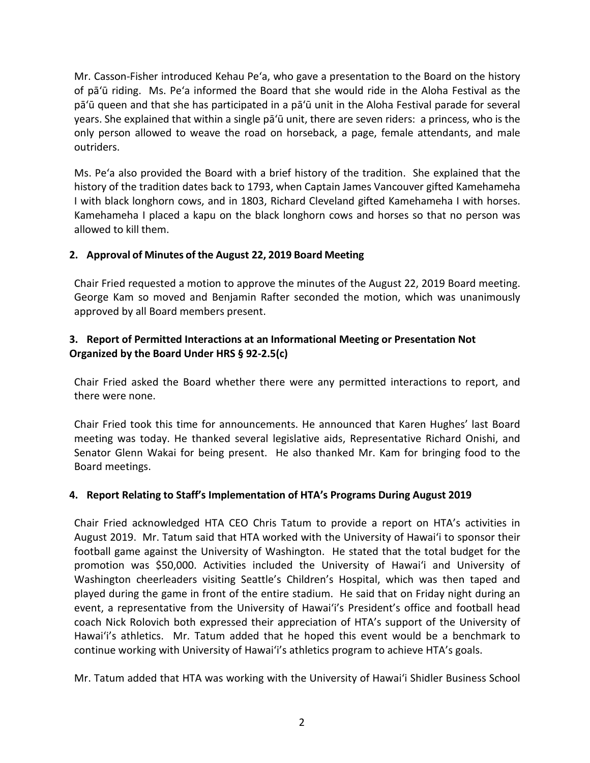Mr. Casson-Fisher introduced Kehau Pe'a, who gave a presentation to the Board on the history of pā'ū riding. Ms. Pe'a informed the Board that she would ride in the Aloha Festival as the pā'ū queen and that she has participated in a pā'ū unit in the Aloha Festival parade for several years. She explained that within a single pā'ū unit, there are seven riders: a princess, who is the only person allowed to weave the road on horseback, a page, female attendants, and male outriders.

Ms. Pe'a also provided the Board with a brief history of the tradition. She explained that the history of the tradition dates back to 1793, when Captain James Vancouver gifted Kamehameha I with black longhorn cows, and in 1803, Richard Cleveland gifted Kamehameha I with horses. Kamehameha I placed a kapu on the black longhorn cows and horses so that no person was allowed to kill them.

### **2. Approval of Minutes of the August 22, 2019 Board Meeting**

Chair Fried requested a motion to approve the minutes of the August 22, 2019 Board meeting. George Kam so moved and Benjamin Rafter seconded the motion, which was unanimously approved by all Board members present.

## **3. Report of Permitted Interactions at an Informational Meeting or Presentation Not Organized by the Board Under HRS § 92-2.5(c)**

Chair Fried asked the Board whether there were any permitted interactions to report, and there were none.

Chair Fried took this time for announcements. He announced that Karen Hughes' last Board meeting was today. He thanked several legislative aids, Representative Richard Onishi, and Senator Glenn Wakai for being present. He also thanked Mr. Kam for bringing food to the Board meetings.

### **4. Report Relating to Staff's Implementation of HTA's Programs During August 2019**

Chair Fried acknowledged HTA CEO Chris Tatum to provide a report on HTA's activities in August 2019. Mr. Tatum said that HTA worked with the University of Hawai'i to sponsor their football game against the University of Washington. He stated that the total budget for the promotion was \$50,000. Activities included the University of Hawai'i and University of Washington cheerleaders visiting Seattle's Children's Hospital, which was then taped and played during the game in front of the entire stadium. He said that on Friday night during an event, a representative from the University of Hawai'i's President's office and football head coach Nick Rolovich both expressed their appreciation of HTA's support of the University of Hawai'i's athletics. Mr. Tatum added that he hoped this event would be a benchmark to continue working with University of Hawai'i's athletics program to achieve HTA's goals.

Mr. Tatum added that HTA was working with the University of Hawai'i Shidler Business School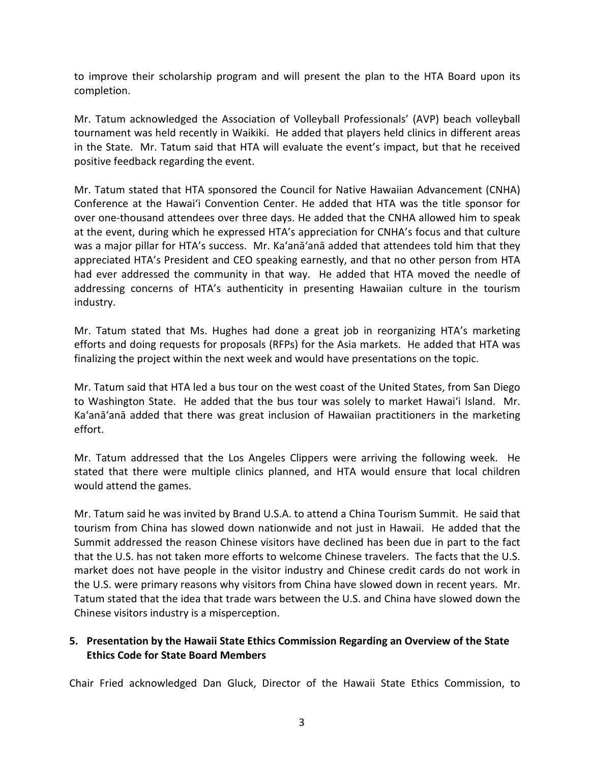to improve their scholarship program and will present the plan to the HTA Board upon its completion.

Mr. Tatum acknowledged the Association of Volleyball Professionals' (AVP) beach volleyball tournament was held recently in Waikiki. He added that players held clinics in different areas in the State. Mr. Tatum said that HTA will evaluate the event's impact, but that he received positive feedback regarding the event.

Mr. Tatum stated that HTA sponsored the Council for Native Hawaiian Advancement (CNHA) Conference at the Hawai'i Convention Center. He added that HTA was the title sponsor for over one-thousand attendees over three days. He added that the CNHA allowed him to speak at the event, during which he expressed HTA's appreciation for CNHA's focus and that culture was a major pillar for HTA's success. Mr. Ka'anā'anā added that attendees told him that they appreciated HTA's President and CEO speaking earnestly, and that no other person from HTA had ever addressed the community in that way. He added that HTA moved the needle of addressing concerns of HTA's authenticity in presenting Hawaiian culture in the tourism industry.

Mr. Tatum stated that Ms. Hughes had done a great job in reorganizing HTA's marketing efforts and doing requests for proposals (RFPs) for the Asia markets. He added that HTA was finalizing the project within the next week and would have presentations on the topic.

Mr. Tatum said that HTA led a bus tour on the west coast of the United States, from San Diego to Washington State. He added that the bus tour was solely to market Hawai'i Island. Mr. Ka'anā'anā added that there was great inclusion of Hawaiian practitioners in the marketing effort.

Mr. Tatum addressed that the Los Angeles Clippers were arriving the following week. He stated that there were multiple clinics planned, and HTA would ensure that local children would attend the games.

Mr. Tatum said he was invited by Brand U.S.A. to attend a China Tourism Summit. He said that tourism from China has slowed down nationwide and not just in Hawaii. He added that the Summit addressed the reason Chinese visitors have declined has been due in part to the fact that the U.S. has not taken more efforts to welcome Chinese travelers. The facts that the U.S. market does not have people in the visitor industry and Chinese credit cards do not work in the U.S. were primary reasons why visitors from China have slowed down in recent years. Mr. Tatum stated that the idea that trade wars between the U.S. and China have slowed down the Chinese visitors industry is a misperception.

### **5. Presentation by the Hawaii State Ethics Commission Regarding an Overview of the State Ethics Code for State Board Members**

Chair Fried acknowledged Dan Gluck, Director of the Hawaii State Ethics Commission, to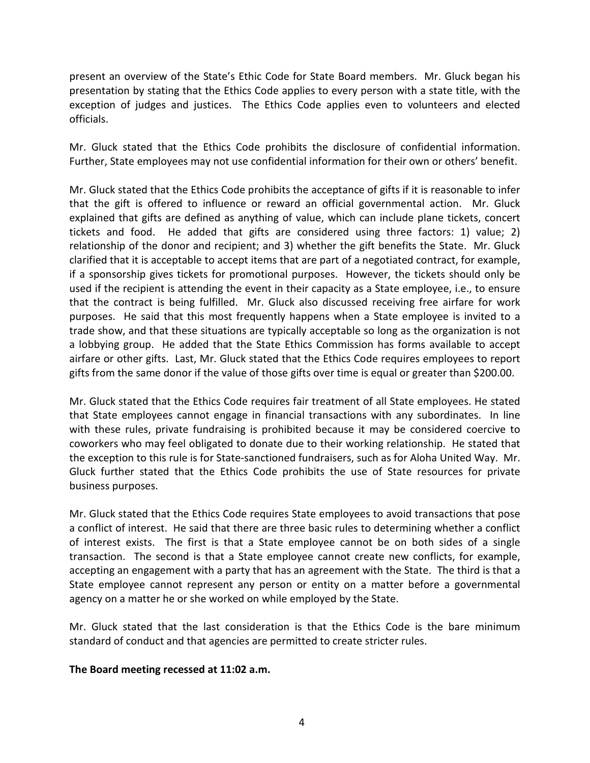present an overview of the State's Ethic Code for State Board members. Mr. Gluck began his presentation by stating that the Ethics Code applies to every person with a state title, with the exception of judges and justices. The Ethics Code applies even to volunteers and elected officials.

Mr. Gluck stated that the Ethics Code prohibits the disclosure of confidential information. Further, State employees may not use confidential information for their own or others' benefit.

Mr. Gluck stated that the Ethics Code prohibits the acceptance of gifts if it is reasonable to infer that the gift is offered to influence or reward an official governmental action. Mr. Gluck explained that gifts are defined as anything of value, which can include plane tickets, concert tickets and food. He added that gifts are considered using three factors: 1) value; 2) relationship of the donor and recipient; and 3) whether the gift benefits the State. Mr. Gluck clarified that it is acceptable to accept items that are part of a negotiated contract, for example, if a sponsorship gives tickets for promotional purposes. However, the tickets should only be used if the recipient is attending the event in their capacity as a State employee, i.e., to ensure that the contract is being fulfilled. Mr. Gluck also discussed receiving free airfare for work purposes. He said that this most frequently happens when a State employee is invited to a trade show, and that these situations are typically acceptable so long as the organization is not a lobbying group. He added that the State Ethics Commission has forms available to accept airfare or other gifts. Last, Mr. Gluck stated that the Ethics Code requires employees to report gifts from the same donor if the value of those gifts over time is equal or greater than \$200.00.

Mr. Gluck stated that the Ethics Code requires fair treatment of all State employees. He stated that State employees cannot engage in financial transactions with any subordinates. In line with these rules, private fundraising is prohibited because it may be considered coercive to coworkers who may feel obligated to donate due to their working relationship. He stated that the exception to this rule is for State-sanctioned fundraisers, such as for Aloha United Way. Mr. Gluck further stated that the Ethics Code prohibits the use of State resources for private business purposes.

Mr. Gluck stated that the Ethics Code requires State employees to avoid transactions that pose a conflict of interest. He said that there are three basic rules to determining whether a conflict of interest exists. The first is that a State employee cannot be on both sides of a single transaction. The second is that a State employee cannot create new conflicts, for example, accepting an engagement with a party that has an agreement with the State. The third is that a State employee cannot represent any person or entity on a matter before a governmental agency on a matter he or she worked on while employed by the State.

Mr. Gluck stated that the last consideration is that the Ethics Code is the bare minimum standard of conduct and that agencies are permitted to create stricter rules.

### **The Board meeting recessed at 11:02 a.m.**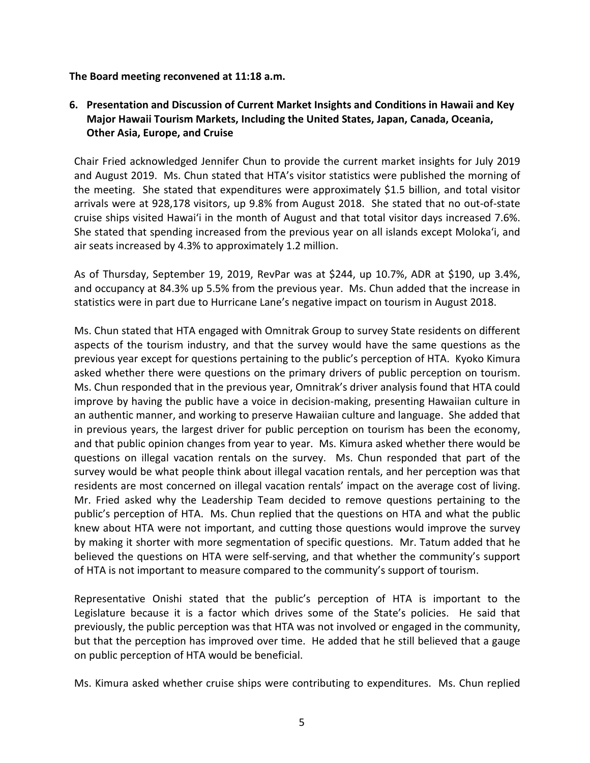### **The Board meeting reconvened at 11:18 a.m.**

## **6. Presentation and Discussion of Current Market Insights and Conditions in Hawaii and Key Major Hawaii Tourism Markets, Including the United States, Japan, Canada, Oceania, Other Asia, Europe, and Cruise**

Chair Fried acknowledged Jennifer Chun to provide the current market insights for July 2019 and August 2019. Ms. Chun stated that HTA's visitor statistics were published the morning of the meeting. She stated that expenditures were approximately \$1.5 billion, and total visitor arrivals were at 928,178 visitors, up 9.8% from August 2018. She stated that no out-of-state cruise ships visited Hawai'i in the month of August and that total visitor days increased 7.6%. She stated that spending increased from the previous year on all islands except Moloka'i, and air seats increased by 4.3% to approximately 1.2 million.

As of Thursday, September 19, 2019, RevPar was at \$244, up 10.7%, ADR at \$190, up 3.4%, and occupancy at 84.3% up 5.5% from the previous year. Ms. Chun added that the increase in statistics were in part due to Hurricane Lane's negative impact on tourism in August 2018.

Ms. Chun stated that HTA engaged with Omnitrak Group to survey State residents on different aspects of the tourism industry, and that the survey would have the same questions as the previous year except for questions pertaining to the public's perception of HTA. Kyoko Kimura asked whether there were questions on the primary drivers of public perception on tourism. Ms. Chun responded that in the previous year, Omnitrak's driver analysis found that HTA could improve by having the public have a voice in decision-making, presenting Hawaiian culture in an authentic manner, and working to preserve Hawaiian culture and language. She added that in previous years, the largest driver for public perception on tourism has been the economy, and that public opinion changes from year to year. Ms. Kimura asked whether there would be questions on illegal vacation rentals on the survey. Ms. Chun responded that part of the survey would be what people think about illegal vacation rentals, and her perception was that residents are most concerned on illegal vacation rentals' impact on the average cost of living. Mr. Fried asked why the Leadership Team decided to remove questions pertaining to the public's perception of HTA. Ms. Chun replied that the questions on HTA and what the public knew about HTA were not important, and cutting those questions would improve the survey by making it shorter with more segmentation of specific questions. Mr. Tatum added that he believed the questions on HTA were self-serving, and that whether the community's support of HTA is not important to measure compared to the community's support of tourism.

Representative Onishi stated that the public's perception of HTA is important to the Legislature because it is a factor which drives some of the State's policies. He said that previously, the public perception was that HTA was not involved or engaged in the community, but that the perception has improved over time. He added that he still believed that a gauge on public perception of HTA would be beneficial.

Ms. Kimura asked whether cruise ships were contributing to expenditures. Ms. Chun replied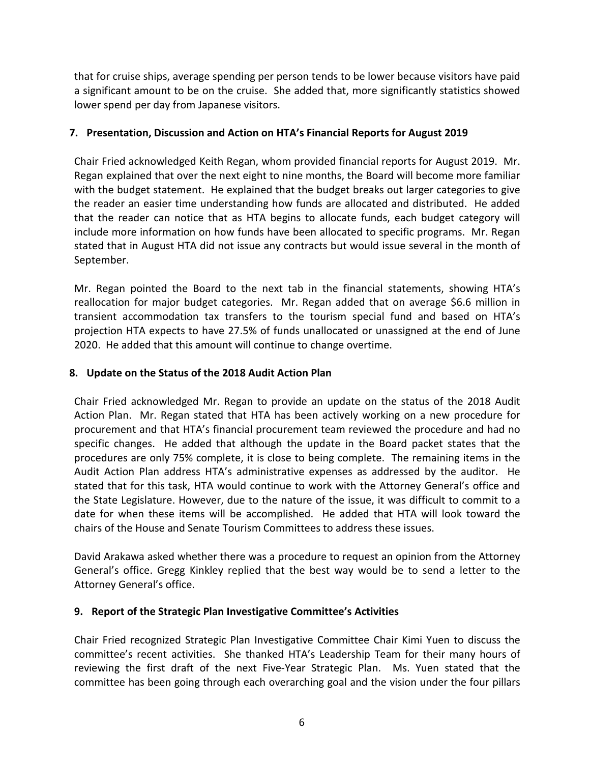that for cruise ships, average spending per person tends to be lower because visitors have paid a significant amount to be on the cruise. She added that, more significantly statistics showed lower spend per day from Japanese visitors.

### **7. Presentation, Discussion and Action on HTA's Financial Reports for August 2019**

Chair Fried acknowledged Keith Regan, whom provided financial reports for August 2019. Mr. Regan explained that over the next eight to nine months, the Board will become more familiar with the budget statement. He explained that the budget breaks out larger categories to give the reader an easier time understanding how funds are allocated and distributed. He added that the reader can notice that as HTA begins to allocate funds, each budget category will include more information on how funds have been allocated to specific programs. Mr. Regan stated that in August HTA did not issue any contracts but would issue several in the month of September.

Mr. Regan pointed the Board to the next tab in the financial statements, showing HTA's reallocation for major budget categories. Mr. Regan added that on average \$6.6 million in transient accommodation tax transfers to the tourism special fund and based on HTA's projection HTA expects to have 27.5% of funds unallocated or unassigned at the end of June 2020. He added that this amount will continue to change overtime.

### **8. Update on the Status of the 2018 Audit Action Plan**

Chair Fried acknowledged Mr. Regan to provide an update on the status of the 2018 Audit Action Plan. Mr. Regan stated that HTA has been actively working on a new procedure for procurement and that HTA's financial procurement team reviewed the procedure and had no specific changes. He added that although the update in the Board packet states that the procedures are only 75% complete, it is close to being complete. The remaining items in the Audit Action Plan address HTA's administrative expenses as addressed by the auditor. He stated that for this task, HTA would continue to work with the Attorney General's office and the State Legislature. However, due to the nature of the issue, it was difficult to commit to a date for when these items will be accomplished. He added that HTA will look toward the chairs of the House and Senate Tourism Committees to address these issues.

David Arakawa asked whether there was a procedure to request an opinion from the Attorney General's office. Gregg Kinkley replied that the best way would be to send a letter to the Attorney General's office.

### **9. Report of the Strategic Plan Investigative Committee's Activities**

Chair Fried recognized Strategic Plan Investigative Committee Chair Kimi Yuen to discuss the committee's recent activities. She thanked HTA's Leadership Team for their many hours of reviewing the first draft of the next Five-Year Strategic Plan. Ms. Yuen stated that the committee has been going through each overarching goal and the vision under the four pillars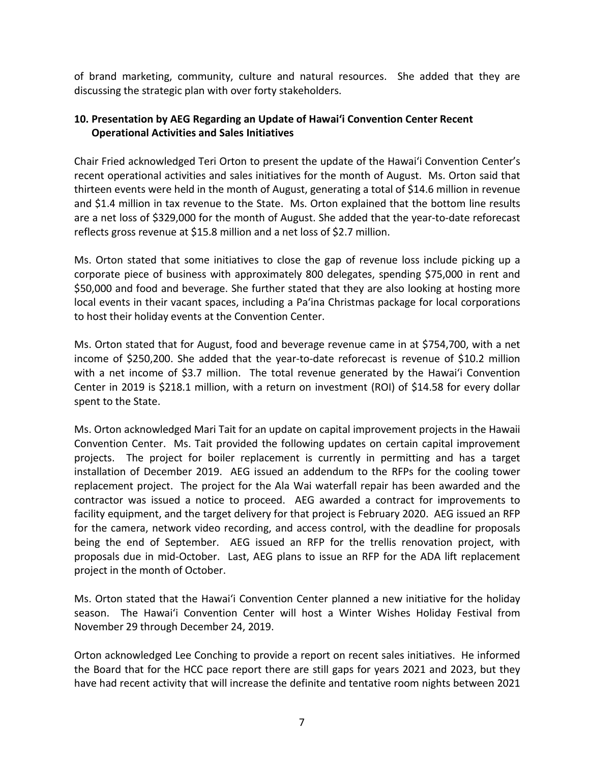of brand marketing, community, culture and natural resources. She added that they are discussing the strategic plan with over forty stakeholders.

## **10. Presentation by AEG Regarding an Update of Hawai'i Convention Center Recent Operational Activities and Sales Initiatives**

Chair Fried acknowledged Teri Orton to present the update of the Hawai'i Convention Center's recent operational activities and sales initiatives for the month of August. Ms. Orton said that thirteen events were held in the month of August, generating a total of \$14.6 million in revenue and \$1.4 million in tax revenue to the State. Ms. Orton explained that the bottom line results are a net loss of \$329,000 for the month of August. She added that the year-to-date reforecast reflects gross revenue at \$15.8 million and a net loss of \$2.7 million.

Ms. Orton stated that some initiatives to close the gap of revenue loss include picking up a corporate piece of business with approximately 800 delegates, spending \$75,000 in rent and \$50,000 and food and beverage. She further stated that they are also looking at hosting more local events in their vacant spaces, including a Pa'ina Christmas package for local corporations to host their holiday events at the Convention Center.

Ms. Orton stated that for August, food and beverage revenue came in at \$754,700, with a net income of \$250,200. She added that the year-to-date reforecast is revenue of \$10.2 million with a net income of \$3.7 million. The total revenue generated by the Hawai'i Convention Center in 2019 is \$218.1 million, with a return on investment (ROI) of \$14.58 for every dollar spent to the State.

Ms. Orton acknowledged Mari Tait for an update on capital improvement projects in the Hawaii Convention Center. Ms. Tait provided the following updates on certain capital improvement projects. The project for boiler replacement is currently in permitting and has a target installation of December 2019. AEG issued an addendum to the RFPs for the cooling tower replacement project. The project for the Ala Wai waterfall repair has been awarded and the contractor was issued a notice to proceed. AEG awarded a contract for improvements to facility equipment, and the target delivery for that project is February 2020. AEG issued an RFP for the camera, network video recording, and access control, with the deadline for proposals being the end of September. AEG issued an RFP for the trellis renovation project, with proposals due in mid-October. Last, AEG plans to issue an RFP for the ADA lift replacement project in the month of October.

Ms. Orton stated that the Hawai'i Convention Center planned a new initiative for the holiday season. The Hawai'i Convention Center will host a Winter Wishes Holiday Festival from November 29 through December 24, 2019.

Orton acknowledged Lee Conching to provide a report on recent sales initiatives. He informed the Board that for the HCC pace report there are still gaps for years 2021 and 2023, but they have had recent activity that will increase the definite and tentative room nights between 2021